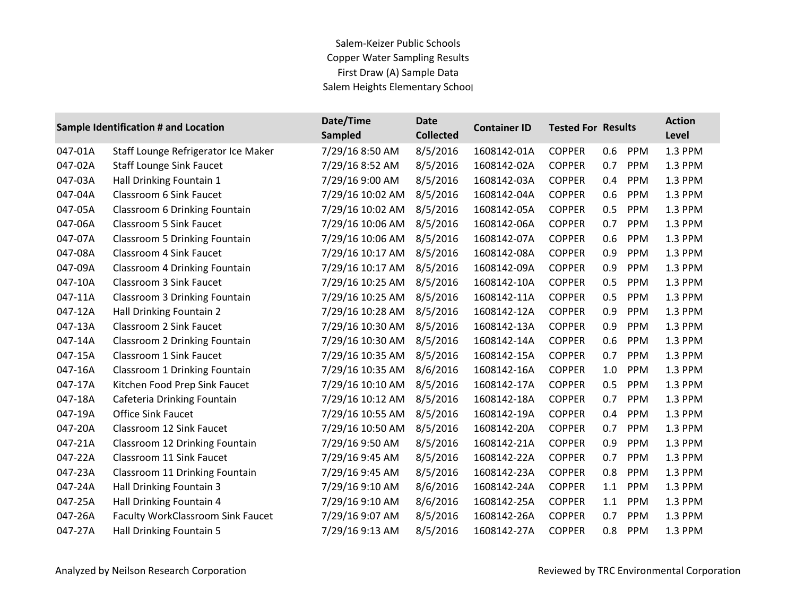## Salem-Keizer Public Schools Copper Water Sampling Results First Draw (A) Sample Data Salem Heights Elementary School

|         | Sample Identification # and Location     | Date/Time<br><b>Sampled</b> | <b>Date</b><br><b>Collected</b> | <b>Container ID</b> | <b>Tested For Results</b> |     |            | <b>Action</b><br>Level |
|---------|------------------------------------------|-----------------------------|---------------------------------|---------------------|---------------------------|-----|------------|------------------------|
| 047-01A | Staff Lounge Refrigerator Ice Maker      | 7/29/16 8:50 AM             | 8/5/2016                        | 1608142-01A         | <b>COPPER</b>             | 0.6 | <b>PPM</b> | 1.3 PPM                |
| 047-02A | <b>Staff Lounge Sink Faucet</b>          | 7/29/16 8:52 AM             | 8/5/2016                        | 1608142-02A         | <b>COPPER</b>             | 0.7 | PPM        | 1.3 PPM                |
| 047-03A | Hall Drinking Fountain 1                 | 7/29/16 9:00 AM             | 8/5/2016                        | 1608142-03A         | <b>COPPER</b>             | 0.4 | PPM        | 1.3 PPM                |
| 047-04A | Classroom 6 Sink Faucet                  | 7/29/16 10:02 AM            | 8/5/2016                        | 1608142-04A         | <b>COPPER</b>             | 0.6 | PPM        | 1.3 PPM                |
| 047-05A | Classroom 6 Drinking Fountain            | 7/29/16 10:02 AM            | 8/5/2016                        | 1608142-05A         | <b>COPPER</b>             | 0.5 | PPM        | 1.3 PPM                |
| 047-06A | <b>Classroom 5 Sink Faucet</b>           | 7/29/16 10:06 AM            | 8/5/2016                        | 1608142-06A         | <b>COPPER</b>             | 0.7 | PPM        | 1.3 PPM                |
| 047-07A | <b>Classroom 5 Drinking Fountain</b>     | 7/29/16 10:06 AM            | 8/5/2016                        | 1608142-07A         | <b>COPPER</b>             | 0.6 | PPM        | 1.3 PPM                |
| 047-08A | Classroom 4 Sink Faucet                  | 7/29/16 10:17 AM            | 8/5/2016                        | 1608142-08A         | <b>COPPER</b>             | 0.9 | PPM        | 1.3 PPM                |
| 047-09A | Classroom 4 Drinking Fountain            | 7/29/16 10:17 AM            | 8/5/2016                        | 1608142-09A         | <b>COPPER</b>             | 0.9 | PPM        | 1.3 PPM                |
| 047-10A | Classroom 3 Sink Faucet                  | 7/29/16 10:25 AM            | 8/5/2016                        | 1608142-10A         | <b>COPPER</b>             | 0.5 | <b>PPM</b> | 1.3 PPM                |
| 047-11A | Classroom 3 Drinking Fountain            | 7/29/16 10:25 AM            | 8/5/2016                        | 1608142-11A         | <b>COPPER</b>             | 0.5 | PPM        | 1.3 PPM                |
| 047-12A | Hall Drinking Fountain 2                 | 7/29/16 10:28 AM            | 8/5/2016                        | 1608142-12A         | <b>COPPER</b>             | 0.9 | <b>PPM</b> | 1.3 PPM                |
| 047-13A | Classroom 2 Sink Faucet                  | 7/29/16 10:30 AM            | 8/5/2016                        | 1608142-13A         | <b>COPPER</b>             | 0.9 | PPM        | 1.3 PPM                |
| 047-14A | Classroom 2 Drinking Fountain            | 7/29/16 10:30 AM            | 8/5/2016                        | 1608142-14A         | <b>COPPER</b>             | 0.6 | <b>PPM</b> | 1.3 PPM                |
| 047-15A | Classroom 1 Sink Faucet                  | 7/29/16 10:35 AM            | 8/5/2016                        | 1608142-15A         | <b>COPPER</b>             | 0.7 | <b>PPM</b> | 1.3 PPM                |
| 047-16A | Classroom 1 Drinking Fountain            | 7/29/16 10:35 AM            | 8/6/2016                        | 1608142-16A         | <b>COPPER</b>             | 1.0 | PPM        | 1.3 PPM                |
| 047-17A | Kitchen Food Prep Sink Faucet            | 7/29/16 10:10 AM            | 8/5/2016                        | 1608142-17A         | <b>COPPER</b>             | 0.5 | PPM        | 1.3 PPM                |
| 047-18A | Cafeteria Drinking Fountain              | 7/29/16 10:12 AM            | 8/5/2016                        | 1608142-18A         | <b>COPPER</b>             | 0.7 | PPM        | 1.3 PPM                |
| 047-19A | <b>Office Sink Faucet</b>                | 7/29/16 10:55 AM            | 8/5/2016                        | 1608142-19A         | <b>COPPER</b>             | 0.4 | <b>PPM</b> | 1.3 PPM                |
| 047-20A | Classroom 12 Sink Faucet                 | 7/29/16 10:50 AM            | 8/5/2016                        | 1608142-20A         | <b>COPPER</b>             | 0.7 | PPM        | 1.3 PPM                |
| 047-21A | Classroom 12 Drinking Fountain           | 7/29/16 9:50 AM             | 8/5/2016                        | 1608142-21A         | <b>COPPER</b>             | 0.9 | PPM        | 1.3 PPM                |
| 047-22A | Classroom 11 Sink Faucet                 | 7/29/16 9:45 AM             | 8/5/2016                        | 1608142-22A         | <b>COPPER</b>             | 0.7 | PPM        | 1.3 PPM                |
| 047-23A | Classroom 11 Drinking Fountain           | 7/29/16 9:45 AM             | 8/5/2016                        | 1608142-23A         | <b>COPPER</b>             | 0.8 | <b>PPM</b> | 1.3 PPM                |
| 047-24A | Hall Drinking Fountain 3                 | 7/29/16 9:10 AM             | 8/6/2016                        | 1608142-24A         | <b>COPPER</b>             | 1.1 | PPM        | 1.3 PPM                |
| 047-25A | Hall Drinking Fountain 4                 | 7/29/16 9:10 AM             | 8/6/2016                        | 1608142-25A         | <b>COPPER</b>             | 1.1 | PPM        | 1.3 PPM                |
| 047-26A | <b>Faculty WorkClassroom Sink Faucet</b> | 7/29/16 9:07 AM             | 8/5/2016                        | 1608142-26A         | <b>COPPER</b>             | 0.7 | <b>PPM</b> | 1.3 PPM                |
| 047-27A | Hall Drinking Fountain 5                 | 7/29/16 9:13 AM             | 8/5/2016                        | 1608142-27A         | <b>COPPER</b>             | 0.8 | PPM        | 1.3 PPM                |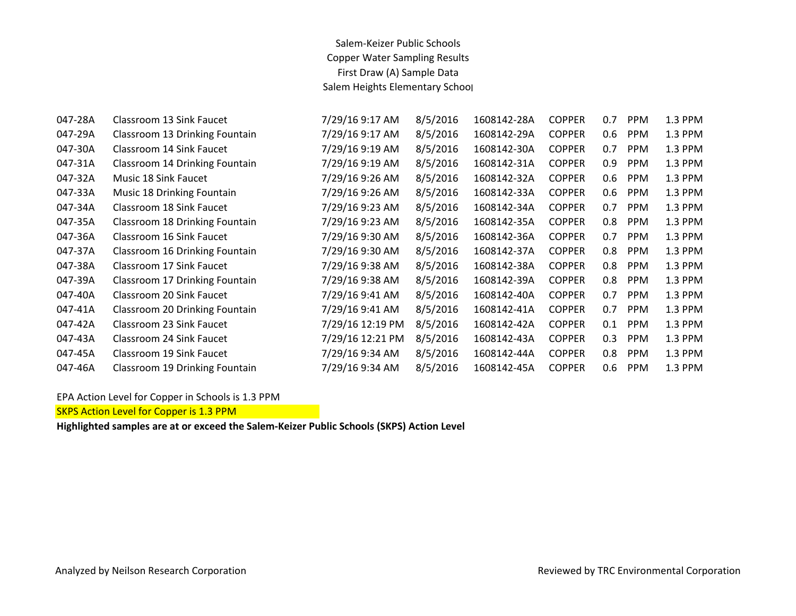## Salem-Keizer Public Schools Copper Water Sampling Results First Draw (A) Sample Data Salem Heights Elementary School

| 047-28A | Classroom 13 Sink Faucet       | 7/29/16 9:17 AM  | 8/5/2016 | 1608142-28A | <b>COPPER</b> | 0.7 | <b>PPM</b> | 1.3 PPM |
|---------|--------------------------------|------------------|----------|-------------|---------------|-----|------------|---------|
| 047-29A | Classroom 13 Drinking Fountain | 7/29/16 9:17 AM  | 8/5/2016 | 1608142-29A | <b>COPPER</b> | 0.6 | <b>PPM</b> | 1.3 PPM |
| 047-30A | Classroom 14 Sink Faucet       | 7/29/16 9:19 AM  | 8/5/2016 | 1608142-30A | <b>COPPER</b> | 0.7 | <b>PPM</b> | 1.3 PPM |
| 047-31A | Classroom 14 Drinking Fountain | 7/29/16 9:19 AM  | 8/5/2016 | 1608142-31A | <b>COPPER</b> | 0.9 | <b>PPM</b> | 1.3 PPM |
| 047-32A | Music 18 Sink Faucet           | 7/29/16 9:26 AM  | 8/5/2016 | 1608142-32A | <b>COPPER</b> | 0.6 | <b>PPM</b> | 1.3 PPM |
| 047-33A | Music 18 Drinking Fountain     | 7/29/16 9:26 AM  | 8/5/2016 | 1608142-33A | <b>COPPER</b> | 0.6 | <b>PPM</b> | 1.3 PPM |
| 047-34A | Classroom 18 Sink Faucet       | 7/29/16 9:23 AM  | 8/5/2016 | 1608142-34A | <b>COPPER</b> | 0.7 | <b>PPM</b> | 1.3 PPM |
| 047-35A | Classroom 18 Drinking Fountain | 7/29/16 9:23 AM  | 8/5/2016 | 1608142-35A | <b>COPPER</b> | 0.8 | <b>PPM</b> | 1.3 PPM |
| 047-36A | Classroom 16 Sink Faucet       | 7/29/16 9:30 AM  | 8/5/2016 | 1608142-36A | <b>COPPER</b> | 0.7 | <b>PPM</b> | 1.3 PPM |
| 047-37A | Classroom 16 Drinking Fountain | 7/29/16 9:30 AM  | 8/5/2016 | 1608142-37A | <b>COPPER</b> | 0.8 | <b>PPM</b> | 1.3 PPM |
| 047-38A | Classroom 17 Sink Faucet       | 7/29/16 9:38 AM  | 8/5/2016 | 1608142-38A | <b>COPPER</b> | 0.8 | <b>PPM</b> | 1.3 PPM |
| 047-39A | Classroom 17 Drinking Fountain | 7/29/16 9:38 AM  | 8/5/2016 | 1608142-39A | <b>COPPER</b> | 0.8 | <b>PPM</b> | 1.3 PPM |
| 047-40A | Classroom 20 Sink Faucet       | 7/29/16 9:41 AM  | 8/5/2016 | 1608142-40A | <b>COPPER</b> | 0.7 | <b>PPM</b> | 1.3 PPM |
| 047-41A | Classroom 20 Drinking Fountain | 7/29/16 9:41 AM  | 8/5/2016 | 1608142-41A | <b>COPPER</b> | 0.7 | <b>PPM</b> | 1.3 PPM |
| 047-42A | Classroom 23 Sink Faucet       | 7/29/16 12:19 PM | 8/5/2016 | 1608142-42A | <b>COPPER</b> | 0.1 | <b>PPM</b> | 1.3 PPM |
| 047-43A | Classroom 24 Sink Faucet       | 7/29/16 12:21 PM | 8/5/2016 | 1608142-43A | <b>COPPER</b> | 0.3 | <b>PPM</b> | 1.3 PPM |
| 047-45A | Classroom 19 Sink Faucet       | 7/29/16 9:34 AM  | 8/5/2016 | 1608142-44A | <b>COPPER</b> | 0.8 | <b>PPM</b> | 1.3 PPM |
| 047-46A | Classroom 19 Drinking Fountain | 7/29/16 9:34 AM  | 8/5/2016 | 1608142-45A | <b>COPPER</b> | 0.6 | <b>PPM</b> | 1.3 PPM |

EPA Action Level for Copper in Schools is 1.3 PPM

SKPS Action Level for Copper is 1.3 PPM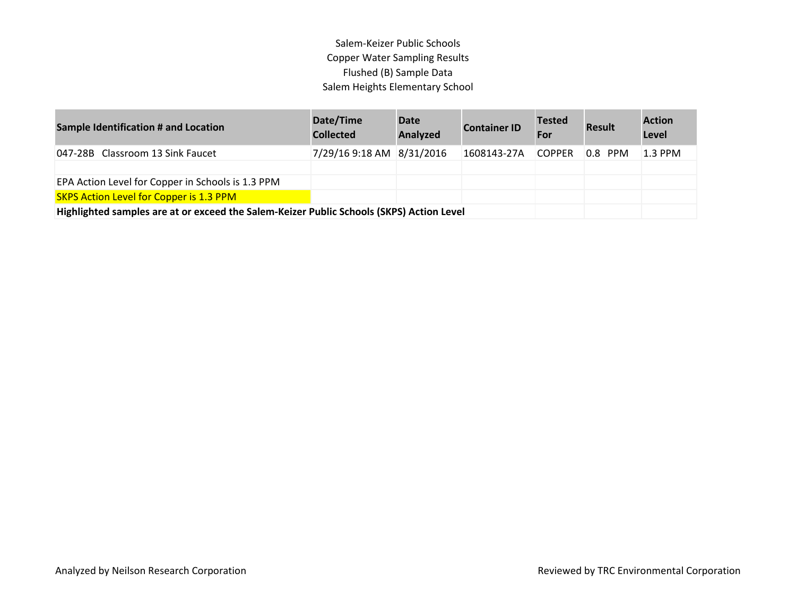## Salem-Keizer Public Schools Copper Water Sampling Results Flushed (B) Sample Data Salem Heights Elementary School

| <b>Sample Identification # and Location</b>                                              | Date/Time<br><b>Collected</b> | Date<br>Analyzed | <b>Container ID</b> | <b>Tested</b><br>For | <b>Result</b> | <b>Action</b><br>Level |
|------------------------------------------------------------------------------------------|-------------------------------|------------------|---------------------|----------------------|---------------|------------------------|
| 047-28B Classroom 13 Sink Faucet                                                         | 7/29/16 9:18 AM 8/31/2016     |                  | 1608143-27A         | <b>COPPER</b>        | $ 0.8 $ PPM   | $1.3$ PPM              |
|                                                                                          |                               |                  |                     |                      |               |                        |
| EPA Action Level for Copper in Schools is 1.3 PPM                                        |                               |                  |                     |                      |               |                        |
| <b>SKPS Action Level for Copper is 1.3 PPM</b>                                           |                               |                  |                     |                      |               |                        |
| Highlighted samples are at or exceed the Salem-Keizer Public Schools (SKPS) Action Level |                               |                  |                     |                      |               |                        |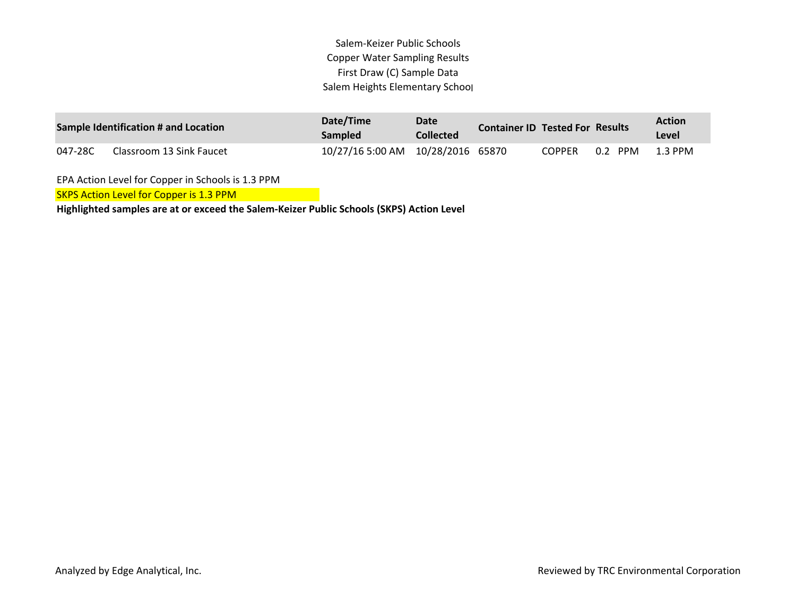Salem-Keizer Public Schools Copper Water Sampling Results First Draw (C) Sample Data Salem Heights Elementary School

| Sample Identification # and Location |                          | Date/Time<br><b>Sampled</b>         | Date<br><b>Collected</b> | <b>Container ID Tested For Results</b> |         | <b>Action</b><br>Level |
|--------------------------------------|--------------------------|-------------------------------------|--------------------------|----------------------------------------|---------|------------------------|
| 047-28C                              | Classroom 13 Sink Faucet | 10/27/16 5:00 AM  10/28/2016  65870 |                          | <b>COPPER</b>                          | 0.2 PPM | $1.3$ PPM              |

EPA Action Level for Copper in Schools is 1.3 PPM

SKPS Action Level for Copper is 1.3 PPM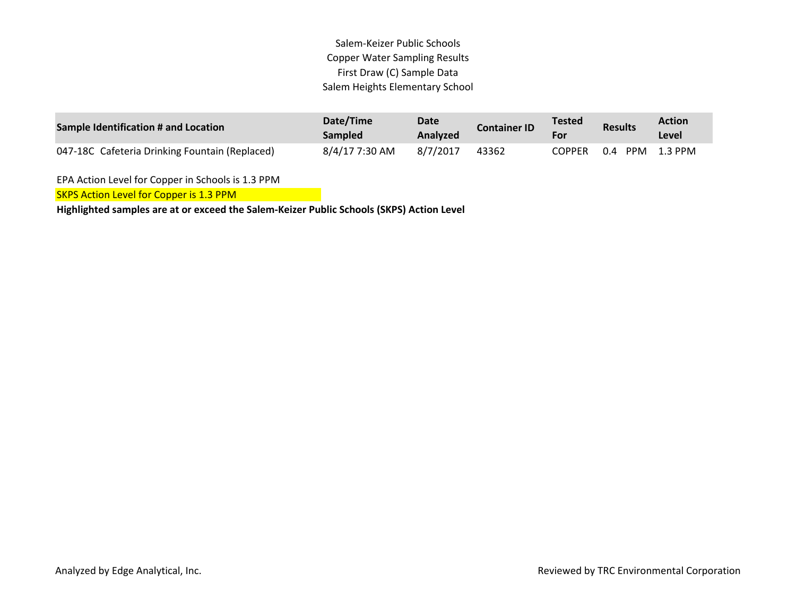Salem-Keizer Public Schools Copper Water Sampling Results First Draw (C) Sample Data Salem Heights Elementary School

| Sample Identification # and Location           | Date/Time<br><b>Sampled</b> | <b>Date</b><br>Analyzed | <b>Container ID</b> | <b>Tested</b><br>For | <b>Results</b> | Action<br><b>Level</b> |
|------------------------------------------------|-----------------------------|-------------------------|---------------------|----------------------|----------------|------------------------|
| 047-18C Cafeteria Drinking Fountain (Replaced) | 8/4/17 7:30 AM              | 8/7/2017                | 43362               | <b>COPPER</b>        | 0.4<br>PPM     | 1.3 PPM                |

EPA Action Level for Copper in Schools is 1.3 PPM

SKPS Action Level for Copper is 1.3 PPM